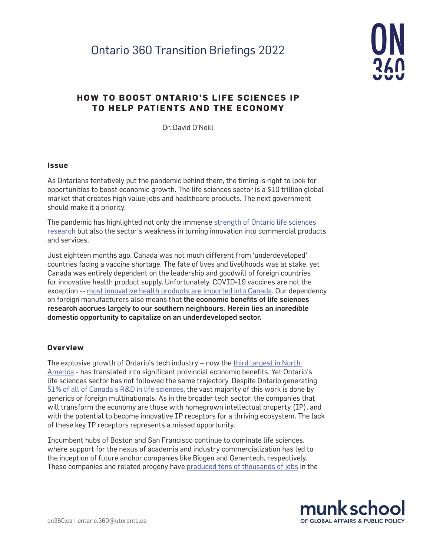# Ontario 360 Transition Briefings 2022



# **HOW TO BOOST ONTARIO'S LIFE SCIENCES IP TO HELP PATIENTS AND THE ECONOMY**

Dr. David O'Neill

#### **Issue**

As Ontarians tentatively put the pandemic behind them, the timing is right to look for opportunities to boost economic growth. The life sciences sector is a \$10 trillion global market that creates high value jobs and healthcare products. The next government should make it a priority.

The pandemic has highlighted not only the immense [strength of Ontario life sciences](https://news.ontario.ca/en/backgrounder/57661/ontario-announces-next-round-of-research-projects-to-fight-covid-19)  [research](https://news.ontario.ca/en/backgrounder/57661/ontario-announces-next-round-of-research-projects-to-fight-covid-19) but also the sector's weakness in turning innovation into commercial products and services.

Just eighteen months ago, Canada was not much different from 'underdeveloped' countries facing a vaccine shortage. The fate of lives and livelihoods was at stake, yet Canada was entirely dependent on the leadership and goodwill of foreign countries for innovative health product supply. Unfortunately, COVID-19 vaccines are not the exception -- [most innovative health products are imported into Canada](https://www.ic.gc.ca/eic/site/lsg-pdsv.nsf/eng/h_hn01703.html). Our dependency on foreign manufacturers also means that the economic benefits of life sciences research accrues largely to our southern neighbours. Herein lies an incredible domestic opportunity to capitalize on an underdeveloped sector.

#### **Overview**

The explosive growth of Ontario's tech industry - now the third largest in North [America](https://www.nytimes.com/2022/03/21/technology/toronto-tech-boom.html) - has translated into significant provincial economic benefits. Yet Ontario's life sciences sector has not followed the same trajectory. Despite Ontario generating [51% of all of Canada's R&D in life sciences,](https://lifesciencesontario.ca/wp-content/uploads/2019/03/LSO-Economic-Study_Final-Report_28FEB2019.pdf) the vast majority of this work is done by generics or foreign multinationals. As in the broader tech sector, the companies that will transform the economy are those with homegrown intellectual property (IP), and with the potential to become innovative IP receptors for a thriving ecosystem. The lack of these key IP receptors represents a missed opportunity.

Incumbent hubs of Boston and San Francisco continue to dominate life sciences, where support for the nexus of academia and industry commercialization has led to the inception of future anchor companies like Biogen and Genentech, respectively. These companies and related progeny have [produced tens of thousands of jobs](https://pitchbook.com/profiles/) in the

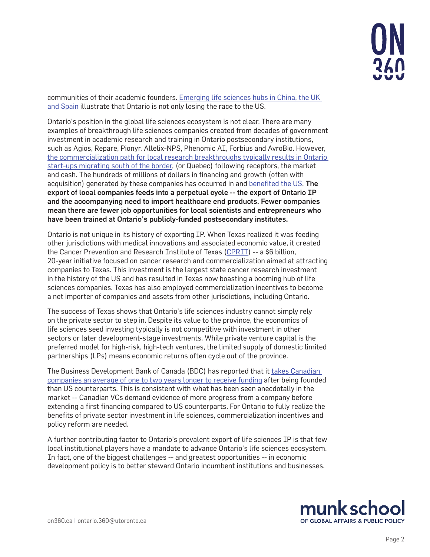communities of their academic founders. [Emerging life sciences hubs in China, the UK](https://www.savills.com/impacts/technology/emerging-life-science-hubs.html)  [and Spain](https://www.savills.com/impacts/technology/emerging-life-science-hubs.html) illustrate that Ontario is not only losing the race to the US.

Ontario's position in the global life sciences ecosystem is not clear. There are many examples of breakthrough life sciences companies created from decades of government investment in academic research and training in Ontario postsecondary institutions, such as Agios, Repare, Pionyr, Allelix-NPS, Phenomic AI, Forbius and AvroBio. However, [the commercialization path for local research breakthroughs typically results in Ontario](https://www.researchgate.net/publication/332864463_The_final_leg_How_Ontario_can_win_the_innovation_race)  [start-ups migrating south of the border,](https://www.researchgate.net/publication/332864463_The_final_leg_How_Ontario_can_win_the_innovation_race) (or Quebec) following receptors, the market and cash. The hundreds of millions of dollars in financing and growth (often with acquisition) generated by these companies has occurred in and [benefited the US](https://www.theglobeandmail.com/business/commentary/article-what-canada-needs-to-do-to-build-a-world-class-biotech-sector/?msclkid=eed35cd6cfb011ecb6e0941d1a5f2671). The export of local companies feeds into a perpetual cycle -- the export of Ontario IP and the accompanying need to import healthcare end products. Fewer companies mean there are fewer job opportunities for local scientists and entrepreneurs who have been trained at Ontario's publicly-funded postsecondary institutes.

Ontario is not unique in its history of exporting IP. When Texas realized it was feeding other jurisdictions with medical innovations and associated economic value, it created the Cancer Prevention and Research Institute of Texas ([CPRIT\)](https://www.cprit.state.tx.us) -- a \$6 billion, 20-year initiative focused on cancer research and commercialization aimed at attracting companies to Texas. This investment is the largest state cancer research investment in the history of the US and has resulted in Texas now boasting a booming hub of life sciences companies. Texas has also employed commercialization incentives to become a net importer of companies and assets from other jurisdictions, including Ontario.

The success of Texas shows that Ontario's life sciences industry cannot simply rely on the private sector to step in. Despite its value to the province, the economics of life sciences seed investing typically is not competitive with investment in other sectors or later development-stage investments. While private venture capital is the preferred model for high-risk, high-tech ventures, the limited supply of domestic limited partnerships (LPs) means economic returns often cycle out of the province.

The Business Development Bank of Canada (BDC) has reported that it [takes Canadian](https://www.bdc.ca/globalassets/digizuite/17870-venture-capital-landscape-paper-en.pdf)  [companies an average of one to two years longer to receive funding](https://www.bdc.ca/globalassets/digizuite/17870-venture-capital-landscape-paper-en.pdf) after being founded than US counterparts. This is consistent with what has been seen anecdotally in the market -- Canadian VCs demand evidence of more progress from a company before extending a first financing compared to US counterparts. For Ontario to fully realize the benefits of private sector investment in life sciences, commercialization incentives and policy reform are needed.

A further contributing factor to Ontario's prevalent export of life sciences IP is that few local institutional players have a mandate to advance Ontario's life sciences ecosystem. In fact, one of the biggest challenges -- and greatest opportunities -- in economic development policy is to better steward Ontario incumbent institutions and businesses.

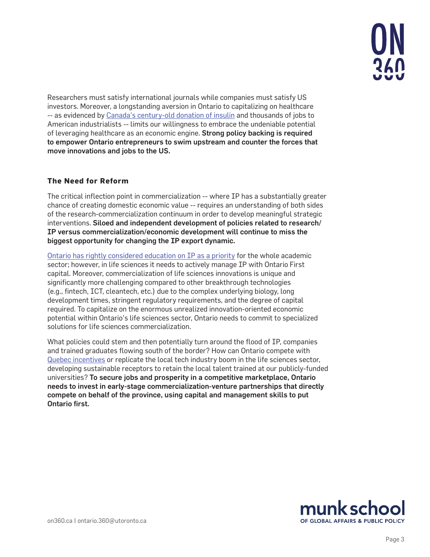

Researchers must satisfy international journals while companies must satisfy US investors. Moreover, a longstanding aversion in Ontario to capitalizing on healthcare -- as evidenced by [Canada's century-old donation of insulin](https://bantinghousenhs.ca/2018/12/14/insulin-patent-sold-for-1/) and thousands of jobs to American industrialists -- limits our willingness to embrace the undeniable potential of leveraging healthcare as an economic engine. Strong policy backing is required to empower Ontario entrepreneurs to swim upstream and counter the forces that move innovations and jobs to the US.

## **The Need for Reform**

The critical inflection point in commercialization -- where IP has a substantially greater chance of creating domestic economic value -- requires an understanding of both sides of the research-commercialization continuum in order to develop meaningful strategic interventions. Siloed and independent development of policies related to research/ IP versus commercialization/economic development will continue to miss the biggest opportunity for changing the IP export dynamic.

[Ontario has rightly considered education on IP as a priority](https://news.ontario.ca/en/backgrounder/1001686/ontario-makes-significant-progress-on-intellectual-property-action-plan) for the whole academic sector; however, in life sciences it needs to actively manage IP with Ontario First capital. Moreover, commercialization of life sciences innovations is unique and significantly more challenging compared to other breakthrough technologies (e.g., fintech, ICT, cleantech, etc.) due to the complex underlying biology, long development times, stringent regulatory requirements, and the degree of capital required. To capitalize on the enormous unrealized innovation-oriented economic potential within Ontario's life sciences sector, Ontario needs to commit to specialized solutions for life sciences commercialization.

What policies could stem and then potentially turn around the flood of IP, companies and trained graduates flowing south of the border? How can Ontario compete with [Quebec incentives](https://home.kpmg/ca/en/home/insights/2022/01/quebec-further-tweaks-patent-box-regime.html) or replicate the local tech industry boom in the life sciences sector, developing sustainable receptors to retain the local talent trained at our publicly-funded universities? To secure jobs and prosperity in a competitive marketplace, Ontario needs to invest in early-stage commercialization-venture partnerships that directly compete on behalf of the province, using capital and management skills to put Ontario first.

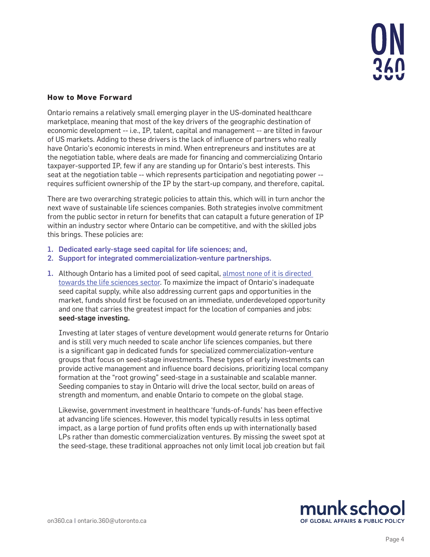

#### **How to Move Forward**

Ontario remains a relatively small emerging player in the US-dominated healthcare marketplace, meaning that most of the key drivers of the geographic destination of economic development -- i.e., IP, talent, capital and management -- are tilted in favour of US markets. Adding to these drivers is the lack of influence of partners who really have Ontario's economic interests in mind. When entrepreneurs and institutes are at the negotiation table, where deals are made for financing and commercializing Ontario taxpayer-supported IP, few if any are standing up for Ontario's best interests. This seat at the negotiation table -- which represents participation and negotiating power - requires sufficient ownership of the IP by the start-up company, and therefore, capital.

There are two overarching strategic policies to attain this, which will in turn anchor the next wave of sustainable life sciences companies. Both strategies involve commitment from the public sector in return for benefits that can catapult a future generation of IP within an industry sector where Ontario can be competitive, and with the skilled jobs this brings. These policies are:

- 1. Dedicated early-stage seed capital for life sciences; and,
- 2. Support for integrated commercialization-venture partnerships.
- 1. Although Ontario has a limited pool of seed capital, [almost none of it is directed](https://www.bdc.ca/globalassets/digizuite/17870-venture-capital-landscape-paper-en.pdf)  [towards the life sciences sector.](https://www.bdc.ca/globalassets/digizuite/17870-venture-capital-landscape-paper-en.pdf) To maximize the impact of Ontario's inadequate seed capital supply, while also addressing current gaps and opportunities in the market, funds should first be focused on an immediate, underdeveloped opportunity and one that carries the greatest impact for the location of companies and jobs: seed-stage investing.

Investing at later stages of venture development would generate returns for Ontario and is still very much needed to scale anchor life sciences companies, but there is a significant gap in dedicated funds for specialized commercialization-venture groups that focus on seed-stage investments. These types of early investments can provide active management and influence board decisions, prioritizing local company formation at the "root growing" seed-stage in a sustainable and scalable manner. Seeding companies to stay in Ontario will drive the local sector, build on areas of strength and momentum, and enable Ontario to compete on the global stage.

Likewise, government investment in healthcare 'funds-of-funds' has been effective at advancing life sciences. However, this model typically results in less optimal impact, as a large portion of fund profits often ends up with internationally based LPs rather than domestic commercialization ventures. By missing the sweet spot at the seed-stage, these traditional approaches not only limit local job creation but fail

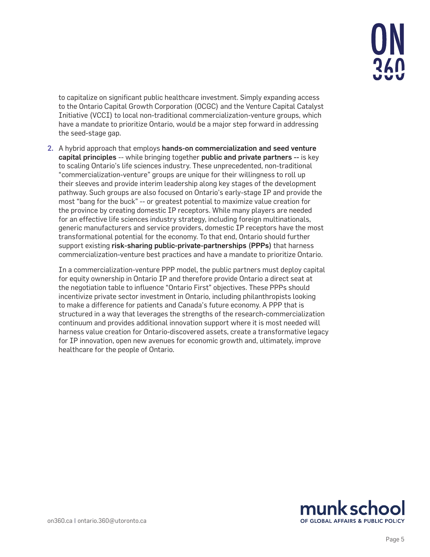

to capitalize on significant public healthcare investment. Simply expanding access to the Ontario Capital Growth Corporation (OCGC) and the Venture Capital Catalyst Initiative (VCCI) to local non-traditional commercialization-venture groups, which have a mandate to prioritize Ontario, would be a major step forward in addressing the seed-stage gap.

2. A hybrid approach that employs hands-on commercialization and seed venture capital principles -- while bringing together public and private partners -- is key to scaling Ontario's life sciences industry. These unprecedented, non-traditional "commercialization-venture" groups are unique for their willingness to roll up their sleeves and provide interim leadership along key stages of the development pathway. Such groups are also focused on Ontario's early-stage IP and provide the most "bang for the buck" -- or greatest potential to maximize value creation for the province by creating domestic IP receptors. While many players are needed for an effective life sciences industry strategy, including foreign multinationals, generic manufacturers and service providers, domestic IP receptors have the most transformational potential for the economy. To that end, Ontario should further support existing risk-sharing public-private-partnerships (PPPs) that harness commercialization-venture best practices and have a mandate to prioritize Ontario.

In a commercialization-venture PPP model, the public partners must deploy capital for equity ownership in Ontario IP and therefore provide Ontario a direct seat at the negotiation table to influence "Ontario First" objectives. These PPPs should incentivize private sector investment in Ontario, including philanthropists looking to make a difference for patients and Canada's future economy. A PPP that is structured in a way that leverages the strengths of the research-commercialization continuum and provides additional innovation support where it is most needed will harness value creation for Ontario-discovered assets, create a transformative legacy for IP innovation, open new avenues for economic growth and, ultimately, improve healthcare for the people of Ontario.